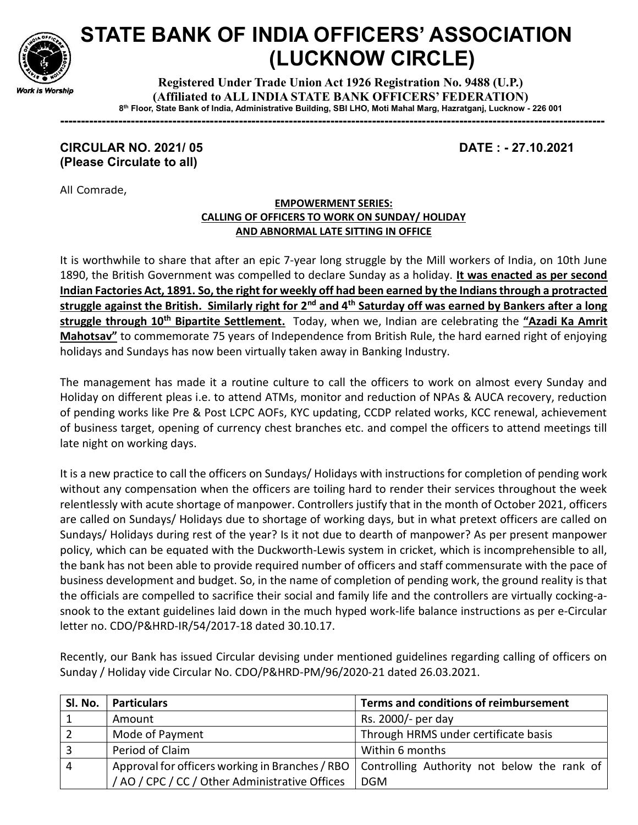

## STATE BANK OF INDIA OFFICERS' ASSOCIATION (LUCKNOW CIRCLE)

Registered Under Trade Union Act 1926 Registration No. 9488 (U.P.) (Affiliated to ALL INDIA STATE BANK OFFICERS' FEDERATION) 8 th Floor, State Bank of India, Administrative Building, SBI LHO, Moti Mahal Marg, Hazratganj, Lucknow - 226 001

-----------------------------------------------------------------------------------------------------------------------------------

## CIRCULAR NO. 2021/ 05 DATE : - 27.10.2021 (Please Circulate to all)

All Comrade,

## EMPOWERMENT SERIES: CALLING OF OFFICERS TO WORK ON SUNDAY/ HOLIDAY AND ABNORMAL LATE SITTING IN OFFICE

It is worthwhile to share that after an epic 7-year long struggle by the Mill workers of India, on 10th June 1890, the British Government was compelled to declare Sunday as a holiday. It was enacted as per second Indian Factories Act, 1891. So, the right for weekly off had been earned by the Indians through a protracted struggle against the British. Similarly right for 2<sup>nd</sup> and 4<sup>th</sup> Saturday off was earned by Bankers after a long struggle through 10<sup>th</sup> Bipartite Settlement. Today, when we, Indian are celebrating the "Azadi Ka Amrit Mahotsav" to commemorate 75 years of Independence from British Rule, the hard earned right of enjoying holidays and Sundays has now been virtually taken away in Banking Industry.

The management has made it a routine culture to call the officers to work on almost every Sunday and Holiday on different pleas i.e. to attend ATMs, monitor and reduction of NPAs & AUCA recovery, reduction of pending works like Pre & Post LCPC AOFs, KYC updating, CCDP related works, KCC renewal, achievement of business target, opening of currency chest branches etc. and compel the officers to attend meetings till late night on working days.

It is a new practice to call the officers on Sundays/ Holidays with instructions for completion of pending work without any compensation when the officers are toiling hard to render their services throughout the week relentlessly with acute shortage of manpower. Controllers justify that in the month of October 2021, officers are called on Sundays/ Holidays due to shortage of working days, but in what pretext officers are called on Sundays/ Holidays during rest of the year? Is it not due to dearth of manpower? As per present manpower policy, which can be equated with the Duckworth-Lewis system in cricket, which is incomprehensible to all, the bank has not been able to provide required number of officers and staff commensurate with the pace of business development and budget. So, in the name of completion of pending work, the ground reality is that the officials are compelled to sacrifice their social and family life and the controllers are virtually cocking-asnook to the extant guidelines laid down in the much hyped work-life balance instructions as per e-Circular letter no. CDO/P&HRD-IR/54/2017-18 dated 30.10.17.

Recently, our Bank has issued Circular devising under mentioned guidelines regarding calling of officers on Sunday / Holiday vide Circular No. CDO/P&HRD-PM/96/2020-21 dated 26.03.2021.

| Sl. No. | <b>Particulars</b>                             | Terms and conditions of reimbursement                                                         |
|---------|------------------------------------------------|-----------------------------------------------------------------------------------------------|
|         | Amount                                         | Rs. 2000/- per day                                                                            |
|         | Mode of Payment                                | Through HRMS under certificate basis                                                          |
|         | Period of Claim                                | Within 6 months                                                                               |
| 4       |                                                | Approval for officers working in Branches / RBO   Controlling Authority not below the rank of |
|         | / AO / CPC / CC / Other Administrative Offices | DGM                                                                                           |